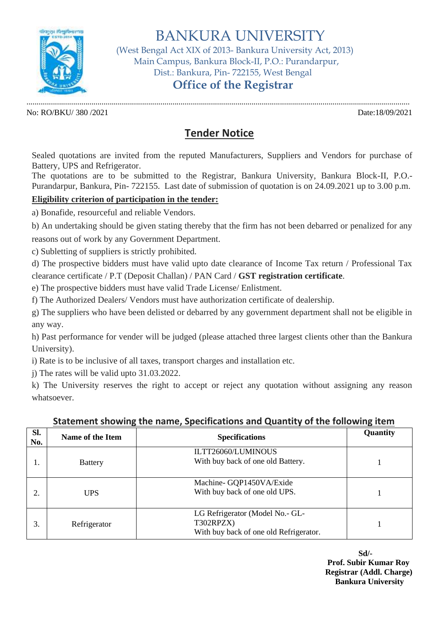

BANKURA UNIVERSITY

 (West Bengal Act XIX of 2013- Bankura University Act, 2013) Main Campus, Bankura Block-II, P.O.: Purandarpur, Dist.: Bankura, Pin- 722155, West Bengal

## **Office of the Registrar**

............................................................................................................................................................................................. No: RO/BKU/ 380 /2021 Date:18/09/2021

## **Tender Notice**

Sealed quotations are invited from the reputed Manufacturers, Suppliers and Vendors for purchase of Battery, UPS and Refrigerator.

The quotations are to be submitted to the Registrar, Bankura University, Bankura Block-II, P.O.- Purandarpur, Bankura, Pin- 722155. Last date of submission of quotation is on 24.09.2021 up to 3.00 p.m.

## **Eligibility criterion of participation in the tender:**

a) Bonafide, resourceful and reliable Vendors.

b) An undertaking should be given stating thereby that the firm has not been debarred or penalized for any reasons out of work by any Government Department.

c) Subletting of suppliers is strictly prohibited.

d) The prospective bidders must have valid upto date clearance of Income Tax return / Professional Tax clearance certificate / P.T (Deposit Challan) / PAN Card / **GST registration certificate**.

e) The prospective bidders must have valid Trade License/ Enlistment.

f) The Authorized Dealers/ Vendors must have authorization certificate of dealership.

g) The suppliers who have been delisted or debarred by any government department shall not be eligible in any way.

h) Past performance for vender will be judged (please attached three largest clients other than the Bankura University).

i) Rate is to be inclusive of all taxes, transport charges and installation etc.

j) The rates will be valid upto 31.03.2022.

k) The University reserves the right to accept or reject any quotation without assigning any reason whatsoever.

| SI.<br>No. | Name of the Item | <b>Specifications</b>                                                                  | Quantity |
|------------|------------------|----------------------------------------------------------------------------------------|----------|
|            | <b>Battery</b>   | ILTT26060/LUMINOUS<br>With buy back of one old Battery.                                |          |
|            | <b>UPS</b>       | Machine-GQP1450VA/Exide<br>With buy back of one old UPS.                               |          |
|            | Refrigerator     | LG Refrigerator (Model No.- GL-<br>T302RPZX)<br>With buy back of one old Refrigerator. |          |

## **Statement showing the name, Specifications and Quantity of the following item**

**Sd/- Prof. Subir Kumar Roy Registrar (Addl. Charge) Bankura University**